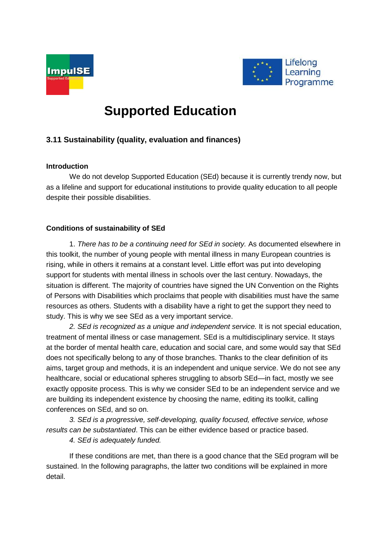



# **Supported Education**

## **3.11 Sustainability (quality, evaluation and finances)**

### **Introduction**

We do not develop Supported Education (SEd) because it is currently trendy now, but as a lifeline and support for educational institutions to provide quality education to all people despite their possible disabilities.

## **Conditions of sustainability of SEd**

1. *There has to be a continuing need for SEd in society.* As documented elsewhere in this toolkit, the number of young people with mental illness in many European countries is rising, while in others it remains at a constant level. Little effort was put into developing support for students with mental illness in schools over the last century. Nowadays, the situation is different. The majority of countries have signed the UN Convention on the Rights of Persons with Disabilities which proclaims that people with disabilities must have the same resources as others. Students with a disability have a right to get the support they need to study. This is why we see SEd as a very important service.

*2. SEd is recognized as a unique and independent service.* It is not special education, treatment of mental illness or case management. SEd is a multidisciplinary service. It stays at the border of mental health care, education and social care, and some would say that SEd does not specifically belong to any of those branches. Thanks to the clear definition of its aims, target group and methods, it is an independent and unique service. We do not see any healthcare, social or educational spheres struggling to absorb SEd—in fact, mostly we see exactly opposite process. This is why we consider SEd to be an independent service and we are building its independent existence by choosing the name, editing its toolkit, calling conferences on SEd, and so on.

*3. SEd is a progressive, self-developing, quality focused, effective service, whose results can be substantiated*. This can be either evidence based or practice based.

*4. SEd is adequately funded.*

If these conditions are met, than there is a good chance that the SEd program will be sustained. In the following paragraphs, the latter two conditions will be explained in more detail.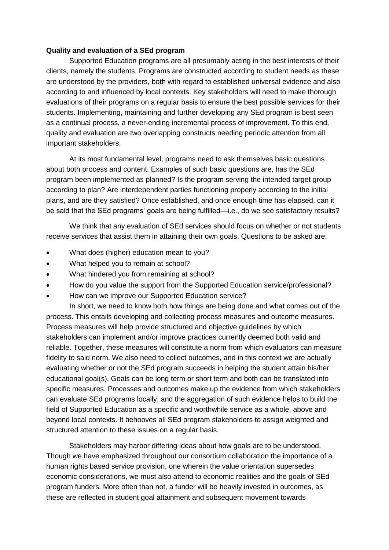#### **Quality and evaluation of a SEd program**

Supported Education programs are all presumably acting in the best interests of their clients, namely the students. Programs are constructed according to student needs as these are understood by the providers, both with regard to established universal evidence and also according to and influenced by local contexts. Key stakeholders will need to make thorough evaluations of their programs on a regular basis to ensure the best possible services for their students. Implementing, maintaining and further developing any SEd program is best seen as a continual process, a never-ending incremental process of improvement. To this end, quality and evaluation are two overlapping constructs needing periodic attention from all important stakeholders.

At its most fundamental level, programs need to ask themselves basic questions about both process and content. Examples of such basic questions are, has the SEd program been implemented as planned? Is the program serving the intended target group according to plan? Are interdependent parties functioning properly according to the initial plans, and are they satisfied? Once established, and once enough time has elapsed, can it be said that the SEd programs' goals are being fulfilled—i.e., do we see satisfactory results?

We think that any evaluation of SEd services should focus on whether or not students receive services that assist them in attaining their own goals. Questions to be asked are:

- What does (higher) education mean to you?
- What helped you to remain at school?
- What hindered you from remaining at school?
- How do you value the support from the Supported Education service/professional?
- How can we improve our Supported Education service?

In short, we need to know both how things are being done and what comes out of the process. This entails developing and collecting process measures and outcome measures. Process measures will help provide structured and objective guidelines by which stakeholders can implement and/or improve practices currently deemed both valid and reliable. Together, these measures will constitute a norm from which evaluators can measure fidelity to said norm. We also need to collect outcomes, and in this context we are actually evaluating whether or not the SEd program succeeds in helping the student attain his/her educational goal(s). Goals can be long term or short term and both can be translated into specific measures. Processes and outcomes make up the evidence from which stakeholders can evaluate SEd programs locally, and the aggregation of such evidence helps to build the field of Supported Education as a specific and worthwhile service as a whole, above and beyond local contexts. It behooves all SEd program stakeholders to assign weighted and structured attention to these issues on a regular basis.

Stakeholders may harbor differing ideas about how goals are to be understood. Though we have emphasized throughout our consortium collaboration the importance of a human rights based service provision, one wherein the value orientation supersedes economic considerations, we must also attend to economic realities and the goals of SEd program funders. More often than not, a funder will be heavily invested in outcomes, as these are reflected in student goal attainment and subsequent movement towards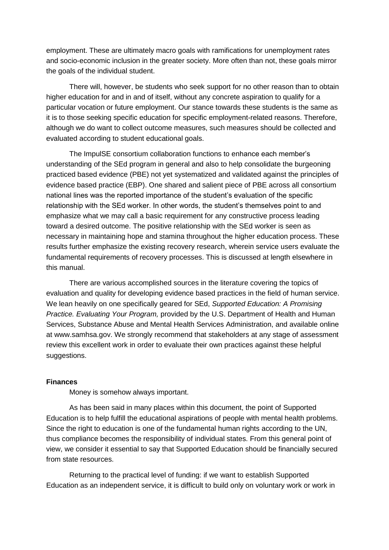employment. These are ultimately macro goals with ramifications for unemployment rates and socio-economic inclusion in the greater society. More often than not, these goals mirror the goals of the individual student.

There will, however, be students who seek support for no other reason than to obtain higher education for and in and of itself, without any concrete aspiration to qualify for a particular vocation or future employment. Our stance towards these students is the same as it is to those seeking specific education for specific employment-related reasons. Therefore, although we do want to collect outcome measures, such measures should be collected and evaluated according to student educational goals.

The ImpulSE consortium collaboration functions to enhance each member's understanding of the SEd program in general and also to help consolidate the burgeoning practiced based evidence (PBE) not yet systematized and validated against the principles of evidence based practice (EBP). One shared and salient piece of PBE across all consortium national lines was the reported importance of the student's evaluation of the specific relationship with the SEd worker. In other words, the student's themselves point to and emphasize what we may call a basic requirement for any constructive process leading toward a desired outcome. The positive relationship with the SEd worker is seen as necessary in maintaining hope and stamina throughout the higher education process. These results further emphasize the existing recovery research, wherein service users evaluate the fundamental requirements of recovery processes. This is discussed at length elsewhere in this manual.

There are various accomplished sources in the literature covering the topics of evaluation and quality for developing evidence based practices in the field of human service. We lean heavily on one specifically geared for SEd, *Supported Education: A Promising Practice. Evaluating Your Program,* provided by the U.S. Department of Health and Human Services, Substance Abuse and Mental Health Services Administration, and available online at www.samhsa.gov. We strongly recommend that stakeholders at any stage of assessment review this excellent work in order to evaluate their own practices against these helpful suggestions.

#### **Finances**

Money is somehow always important.

As has been said in many places within this document, the point of Supported Education is to help fulfill the educational aspirations of people with mental health problems. Since the right to education is one of the fundamental human rights according to the UN, thus compliance becomes the responsibility of individual states. From this general point of view, we consider it essential to say that Supported Education should be financially secured from state resources.

Returning to the practical level of funding: if we want to establish Supported Education as an independent service, it is difficult to build only on voluntary work or work in